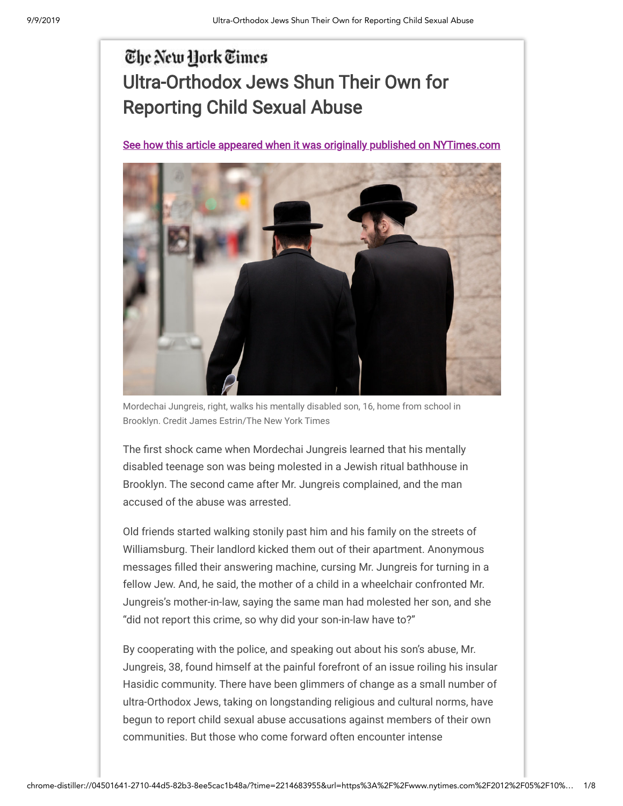# The New York Times [Ultra-Orthodox Jews Shun Their Own for](https://www.nytimes.com/2012/05/10/nyregion/ultra-orthodox-jews-shun-their-own-for-reporting-child-sexual-abuse.html) Reporting Child Sexual Abuse

[See how this article appeared when it was originally published on NYTimes.com](https://archive.nytimes.com/www.nytimes.com/2012/05/10/nyregion/ultra-orthodox-jews-shun-their-own-for-reporting-child-sexual-abuse.html)



Mordechai Jungreis, right, walks his mentally disabled son, 16, home from school in Brooklyn. Credit James Estrin/The New York Times

The first shock came when Mordechai Jungreis learned that his mentally disabled teenage son was being molested in a Jewish ritual bathhouse in Brooklyn. The second came after Mr. Jungreis complained, and the man accused of the abuse was arrested.

Old friends started walking stonily past him and his family on the streets of Williamsburg. Their landlord kicked them out of their apartment. Anonymous messages filled their answering machine, cursing Mr. Jungreis for turning in a fellow Jew. And, he said, the mother of a child in a wheelchair confronted Mr. Jungreis's mother-in-law, saying the same man had molested her son, and she "did not report this crime, so why did your son-in-law have to?"

By cooperating with the police, and speaking out about his son's abuse, Mr. Jungreis, 38, found himself at the painful forefront of an issue roiling his insular Hasidic community. There have been glimmers of change as a small number of ultra-Orthodox Jews, taking on longstanding religious and cultural norms, have begun to report child sexual abuse accusations against members of their own communities. But those who come forward often encounter intense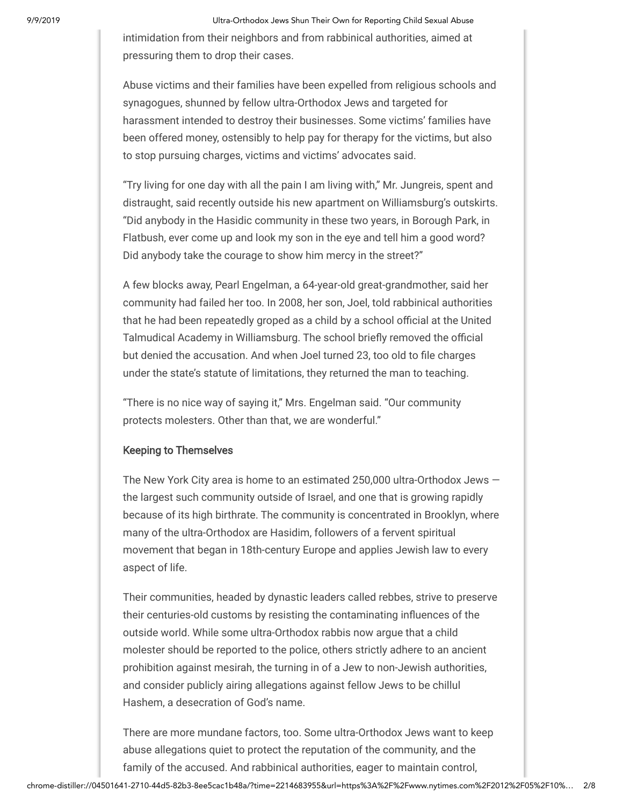intimidation from their neighbors and from rabbinical authorities, aimed at pressuring them to drop their cases.

Abuse victims and their families have been expelled from religious schools and synagogues, shunned by fellow ultra-Orthodox Jews and targeted for harassment intended to destroy their businesses. Some victims' families have been offered money, ostensibly to help pay for therapy for the victims, but also to stop pursuing charges, victims and victims' advocates said.

"Try living for one day with all the pain I am living with," Mr. Jungreis, spent and distraught, said recently outside his new apartment on Williamsburg's outskirts. "Did anybody in the Hasidic community in these two years, in Borough Park, in Flatbush, ever come up and look my son in the eye and tell him a good word? Did anybody take the courage to show him mercy in the street?"

A few blocks away, Pearl Engelman, a 64-year-old great-grandmother, said her community had failed her too. In 2008, her son, Joel, told rabbinical authorities that he had been repeatedly groped as a child by a school official at the United Talmudical Academy in Williamsburg. The school briefly removed the official but denied the accusation. And when Joel turned 23, too old to file charges under the state's statute of limitations, they returned the man to teaching.

"There is no nice way of saying it," Mrs. Engelman said. "Our community protects molesters. Other than that, we are wonderful."

## Keeping to Themselves

The New York City area is home to an estimated 250,000 ultra-Orthodox Jews the largest such community outside of Israel, and one that is growing rapidly because of its high birthrate. The community is concentrated in Brooklyn, where many of the ultra-Orthodox are Hasidim, followers of a fervent spiritual movement that began in 18th-century Europe and applies Jewish law to every aspect of life.

Their communities, headed by dynastic leaders called rebbes, strive to preserve their centuries-old customs by resisting the contaminating influences of the outside world. While some ultra-Orthodox rabbis now argue that a child molester should be reported to the police, others strictly adhere to an ancient prohibition against mesirah, the turning in of a Jew to non-Jewish authorities, and consider publicly airing allegations against fellow Jews to be chillul Hashem, a desecration of God's name.

There are more mundane factors, too. Some ultra-Orthodox Jews want to keep abuse allegations quiet to protect the reputation of the community, and the family of the accused. And rabbinical authorities, eager to maintain control,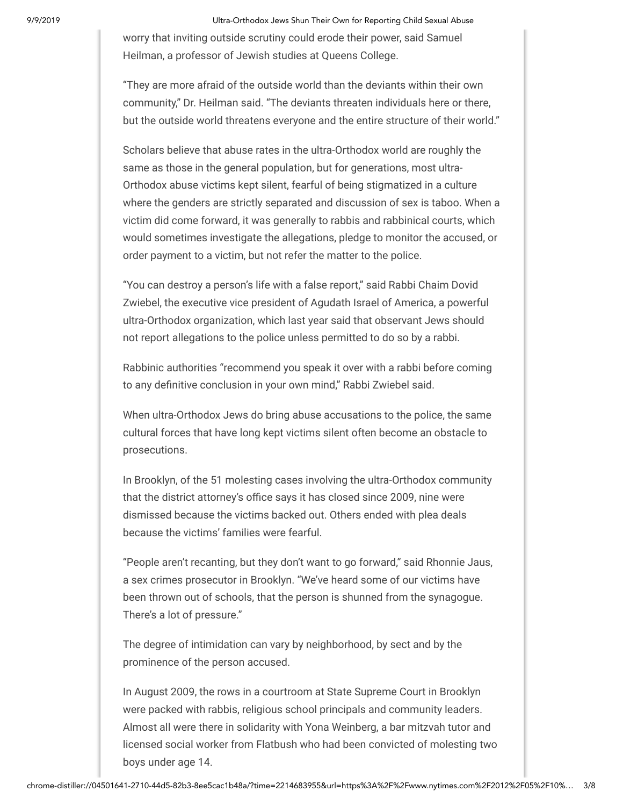worry that inviting outside scrutiny could erode their power, said Samuel Heilman, a professor of Jewish studies at Queens College.

"They are more afraid of the outside world than the deviants within their own community," Dr. Heilman said. "The deviants threaten individuals here or there, but the outside world threatens everyone and the entire structure of their world."

Scholars believe that abuse rates in the ultra-Orthodox world are roughly the same as those in the general population, but for generations, most ultra-Orthodox abuse victims kept silent, fearful of being stigmatized in a culture where the genders are strictly separated and discussion of sex is taboo. When a victim did come forward, it was generally to rabbis and rabbinical courts, which would sometimes investigate the allegations, pledge to monitor the accused, or order payment to a victim, but not refer the matter to the police.

"You can destroy a person's life with a false report," said Rabbi Chaim Dovid Zwiebel, the executive vice president of Agudath Israel of America, a powerful ultra-Orthodox organization, which last year said that observant Jews should not report allegations to the police unless permitted to do so by a rabbi.

Rabbinic authorities "recommend you speak it over with a rabbi before coming to any definitive conclusion in your own mind," Rabbi Zwiebel said.

When ultra-Orthodox Jews do bring abuse accusations to the police, the same cultural forces that have long kept victims silent often become an obstacle to prosecutions.

In Brooklyn, of the 51 molesting cases involving the ultra-Orthodox community that the district attorney's office says it has closed since 2009, nine were dismissed because the victims backed out. Others ended with plea deals because the victims' families were fearful.

"People aren't recanting, but they don't want to go forward," said Rhonnie Jaus, a sex crimes prosecutor in Brooklyn. "We've heard some of our victims have been thrown out of schools, that the person is shunned from the synagogue. There's a lot of pressure."

The degree of intimidation can vary by neighborhood, by sect and by the prominence of the person accused.

In August 2009, the rows in a courtroom at State Supreme Court in Brooklyn were packed with rabbis, religious school principals and community leaders. Almost all were there in solidarity with Yona Weinberg, a bar mitzvah tutor and licensed social worker from Flatbush who had been convicted of molesting two boys under age 14.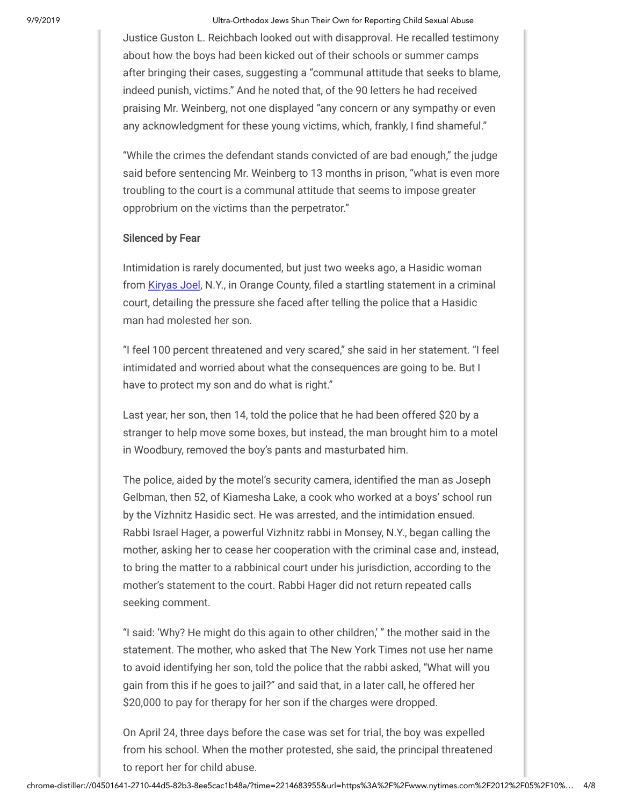Justice Guston L. Reichbach looked out with disapproval. He recalled testimony about how the boys had been kicked out of their schools or summer camps after bringing their cases, suggesting a "communal attitude that seeks to blame, indeed punish, victims." And he noted that, of the 90 letters he had received praising Mr. Weinberg, not one displayed "any concern or any sympathy or even any acknowledgment for these young victims, which, frankly, I find shameful."

"While the crimes the defendant stands convicted of are bad enough," the judge said before sentencing Mr. Weinberg to 13 months in prison, "what is even more troubling to the court is a communal attitude that seems to impose greater opprobrium on the victims than the perpetrator."

## Silenced by Fear

Intimidation is rarely documented, but just two weeks ago, a Hasidic woman from [Kiryas Joel](http://www.nytimes.com/2011/04/21/nyregion/kiryas-joel-a-village-with-the-numbers-not-the-image-of-the-poorest-place.html), N.Y., in Orange County, filed a startling statement in a criminal court, detailing the pressure she faced after telling the police that a Hasidic man had molested her son.

"I feel 100 percent threatened and very scared," she said in her statement. "I feel intimidated and worried about what the consequences are going to be. But I have to protect my son and do what is right."

Last year, her son, then 14, told the police that he had been offered \$20 by a stranger to help move some boxes, but instead, the man brought him to a motel in Woodbury, removed the boy's pants and masturbated him.

The police, aided by the motel's security camera, identified the man as Joseph Gelbman, then 52, of Kiamesha Lake, a cook who worked at a boys' school run by the Vizhnitz Hasidic sect. He was arrested, and the intimidation ensued. Rabbi Israel Hager, a powerful Vizhnitz rabbi in Monsey, N.Y., began calling the mother, asking her to cease her cooperation with the criminal case and, instead, to bring the matter to a rabbinical court under his jurisdiction, according to the mother's statement to the court. Rabbi Hager did not return repeated calls seeking comment.

"I said: 'Why? He might do this again to other children,' " the mother said in the statement. The mother, who asked that The New York Times not use her name to avoid identifying her son, told the police that the rabbi asked, "What will you gain from this if he goes to jail?" and said that, in a later call, he offered her \$20,000 to pay for therapy for her son if the charges were dropped.

On April 24, three days before the case was set for trial, the boy was expelled from his school. When the mother protested, she said, the principal threatened to report her for child abuse.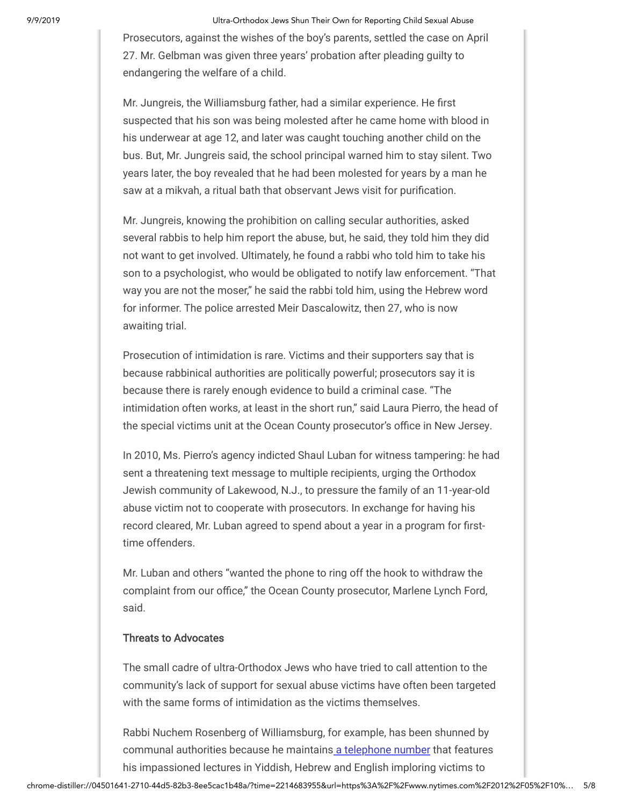Prosecutors, against the wishes of the boy's parents, settled the case on April 27. Mr. Gelbman was given three years' probation after pleading guilty to endangering the welfare of a child.

Mr. Jungreis, the Williamsburg father, had a similar experience. He first suspected that his son was being molested after he came home with blood in his underwear at age 12, and later was caught touching another child on the bus. But, Mr. Jungreis said, the school principal warned him to stay silent. Two years later, the boy revealed that he had been molested for years by a man he saw at a mikvah, a ritual bath that observant Jews visit for purification.

Mr. Jungreis, knowing the prohibition on calling secular authorities, asked several rabbis to help him report the abuse, but, he said, they told him they did not want to get involved. Ultimately, he found a rabbi who told him to take his son to a psychologist, who would be obligated to notify law enforcement. "That way you are not the moser," he said the rabbi told him, using the Hebrew word for informer. The police arrested Meir Dascalowitz, then 27, who is now awaiting trial.

Prosecution of intimidation is rare. Victims and their supporters say that is because rabbinical authorities are politically powerful; prosecutors say it is because there is rarely enough evidence to build a criminal case. "The intimidation often works, at least in the short run," said Laura Pierro, the head of the special victims unit at the Ocean County prosecutor's office in New Jersey.

In 2010, Ms. Pierro's agency indicted Shaul Luban for witness tampering: he had sent a threatening text message to multiple recipients, urging the Orthodox Jewish community of Lakewood, N.J., to pressure the family of an 11-year-old abuse victim not to cooperate with prosecutors. In exchange for having his record cleared, Mr. Luban agreed to spend about a year in a program for firsttime offenders.

Mr. Luban and others "wanted the phone to ring off the hook to withdraw the complaint from our office," the Ocean County prosecutor, Marlene Lynch Ford, said.

## Threats to Advocates

The small cadre of ultra-Orthodox Jews who have tried to call attention to the community's lack of support for sexual abuse victims have often been targeted with the same forms of intimidation as the victims themselves.

Rabbi Nuchem Rosenberg of Williamsburg, for example, has been shunned by communal authorities because he maintains [a telephone number](http://nochemrosenberg.blogspot.com/) that features his impassioned lectures in Yiddish, Hebrew and English imploring victims to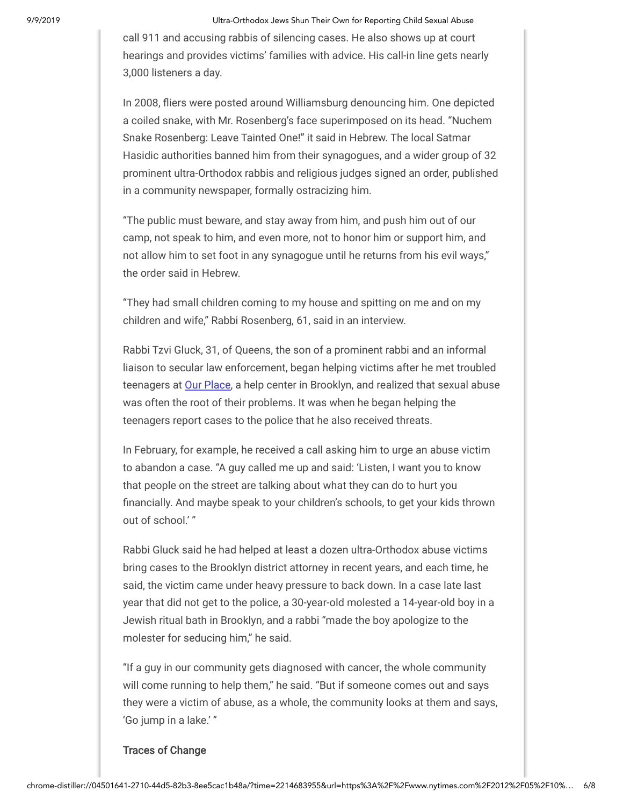call 911 and accusing rabbis of silencing cases. He also shows up at court hearings and provides victims' families with advice. His call-in line gets nearly 3,000 listeners a day.

In 2008, fliers were posted around Williamsburg denouncing him. One depicted a coiled snake, with Mr. Rosenberg's face superimposed on its head. "Nuchem Snake Rosenberg: Leave Tainted One!" it said in Hebrew. The local Satmar Hasidic authorities banned him from their synagogues, and a wider group of 32 prominent ultra-Orthodox rabbis and religious judges signed an order, published in a community newspaper, formally ostracizing him.

"The public must beware, and stay away from him, and push him out of our camp, not speak to him, and even more, not to honor him or support him, and not allow him to set foot in any synagogue until he returns from his evil ways," the order said in Hebrew.

"They had small children coming to my house and spitting on me and on my children and wife," Rabbi Rosenberg, 61, said in an interview.

Rabbi Tzvi Gluck, 31, of Queens, the son of a prominent rabbi and an informal liaison to secular law enforcement, began helping victims after he met troubled teenagers at [Our Place,](http://www.ourplaceny.org/index.html) a help center in Brooklyn, and realized that sexual abuse was often the root of their problems. It was when he began helping the teenagers report cases to the police that he also received threats.

In February, for example, he received a call asking him to urge an abuse victim to abandon a case. "A guy called me up and said: 'Listen, I want you to know that people on the street are talking about what they can do to hurt you nancially. And maybe speak to your children's schools, to get your kids thrown out of school.' "

Rabbi Gluck said he had helped at least a dozen ultra-Orthodox abuse victims bring cases to the Brooklyn district attorney in recent years, and each time, he said, the victim came under heavy pressure to back down. In a case late last year that did not get to the police, a 30-year-old molested a 14-year-old boy in a Jewish ritual bath in Brooklyn, and a rabbi "made the boy apologize to the molester for seducing him," he said.

"If a guy in our community gets diagnosed with cancer, the whole community will come running to help them," he said. "But if someone comes out and says they were a victim of abuse, as a whole, the community looks at them and says, 'Go jump in a lake.' "

## Traces of Change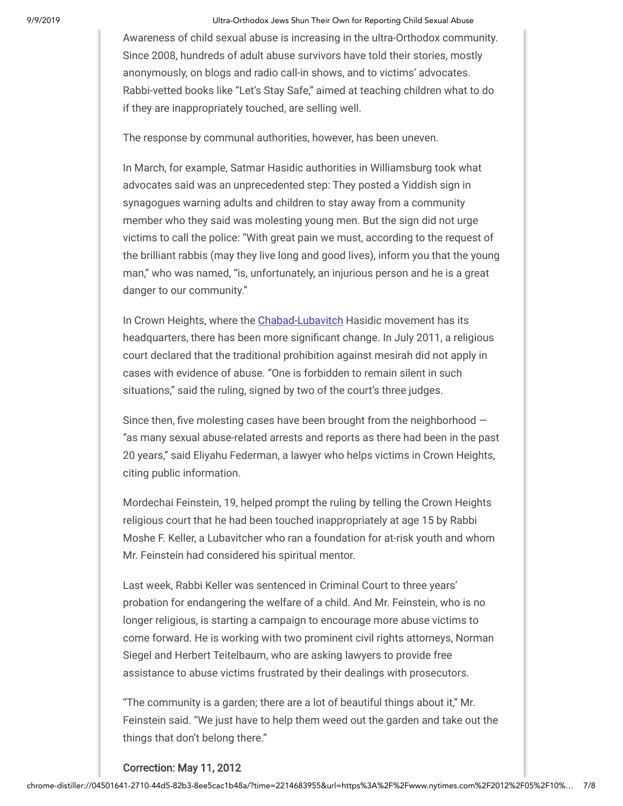Awareness of child sexual abuse is increasing in the ultra-Orthodox community. Since 2008, hundreds of adult abuse survivors have told their stories, mostly anonymously, on blogs and radio call-in shows, and to victims' advocates. Rabbi-vetted books like "Let's Stay Safe," aimed at teaching children what to do if they are inappropriately touched, are selling well.

The response by communal authorities, however, has been uneven.

In March, for example, Satmar Hasidic authorities in Williamsburg took what advocates said was an unprecedented step: They posted a Yiddish sign in synagogues warning adults and children to stay away from a community member who they said was molesting young men. But the sign did not urge victims to call the police: "With great pain we must, according to the request of the brilliant rabbis (may they live long and good lives), inform you that the young man," who was named, "is, unfortunately, an injurious person and he is a great danger to our community."

In Crown Heights, where the [Chabad-Lubavitch](http://lubavitch.com/) Hasidic movement has its headquarters, there has been more significant change. In July 2011, a religious court declared that the traditional prohibition against mesirah did not apply in cases with evidence of abuse. "One is forbidden to remain silent in such situations," said the ruling, signed by two of the court's three judges.

Since then, five molesting cases have been brought from the neighborhood  $-$ "as many sexual abuse-related arrests and reports as there had been in the past 20 years," said Eliyahu Federman, a lawyer who helps victims in Crown Heights, citing public information.

Mordechai Feinstein, 19, helped prompt the ruling by telling the Crown Heights religious court that he had been touched inappropriately at age 15 by Rabbi Moshe F. Keller, a Lubavitcher who ran a foundation for at-risk youth and whom Mr. Feinstein had considered his spiritual mentor.

Last week, Rabbi Keller was sentenced in Criminal Court to three years' probation for endangering the welfare of a child. And Mr. Feinstein, who is no longer religious, is starting a campaign to encourage more abuse victims to come forward. He is working with two prominent civil rights attorneys, Norman Siegel and Herbert Teitelbaum, who are asking lawyers to provide free assistance to abuse victims frustrated by their dealings with prosecutors.

"The community is a garden; there are a lot of beautiful things about it," Mr. Feinstein said. "We just have to help them weed out the garden and take out the things that don't belong there."

## Correction: May 11, 2012